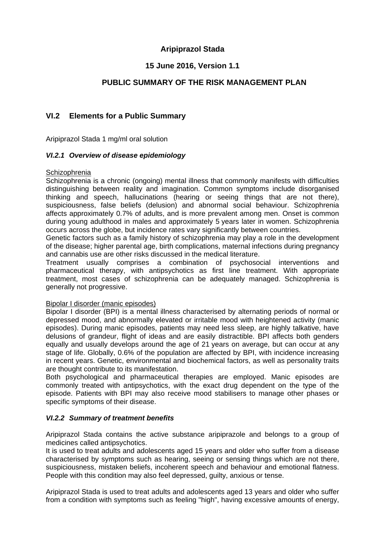# **Aripiprazol Stada**

# **15 June 2016, Version 1.1**

# **PUBLIC SUMMARY OF THE RISK MANAGEMENT PLAN**

# **VI.2 Elements for a Public Summary**

Aripiprazol Stada 1 mg/ml oral solution

## *VI.2.1 Overview of disease epidemiology*

#### **Schizophrenia**

Schizophrenia is a chronic (ongoing) mental illness that commonly manifests with difficulties distinguishing between reality and imagination. Common symptoms include disorganised thinking and speech, hallucinations (hearing or seeing things that are not there), suspiciousness, false beliefs (delusion) and abnormal social behaviour. Schizophrenia affects approximately 0.7% of adults, and is more prevalent among men. Onset is common during young adulthood in males and approximately 5 years later in women. Schizophrenia occurs across the globe, but incidence rates vary significantly between countries.

Genetic factors such as a family history of schizophrenia may play a role in the development of the disease; higher parental age, birth complications, maternal infections during pregnancy and cannabis use are other risks discussed in the medical literature.

Treatment usually comprises a combination of psychosocial interventions and pharmaceutical therapy, with antipsychotics as first line treatment. With appropriate treatment, most cases of schizophrenia can be adequately managed. Schizophrenia is generally not progressive.

## Bipolar I disorder (manic episodes)

Bipolar I disorder (BPI) is a mental illness characterised by alternating periods of normal or depressed mood, and abnormally elevated or irritable mood with heightened activity (manic episodes). During manic episodes, patients may need less sleep, are highly talkative, have delusions of grandeur, flight of ideas and are easily distractible. BPI affects both genders equally and usually develops around the age of 21 years on average, but can occur at any stage of life. Globally, 0.6% of the population are affected by BPI, with incidence increasing in recent years. Genetic, environmental and biochemical factors, as well as personality traits are thought contribute to its manifestation.

Both psychological and pharmaceutical therapies are employed. Manic episodes are commonly treated with antipsychotics, with the exact drug dependent on the type of the episode. Patients with BPI may also receive mood stabilisers to manage other phases or specific symptoms of their disease.

## *VI.2.2 Summary of treatment benefits*

Aripiprazol Stada contains the active substance aripiprazole and belongs to a group of medicines called antipsychotics.

It is used to treat adults and adolescents aged 15 years and older who suffer from a disease characterised by symptoms such as hearing, seeing or sensing things which are not there, suspiciousness, mistaken beliefs, incoherent speech and behaviour and emotional flatness. People with this condition may also feel depressed, guilty, anxious or tense.

Aripiprazol Stada is used to treat adults and adolescents aged 13 years and older who suffer from a condition with symptoms such as feeling "high", having excessive amounts of energy,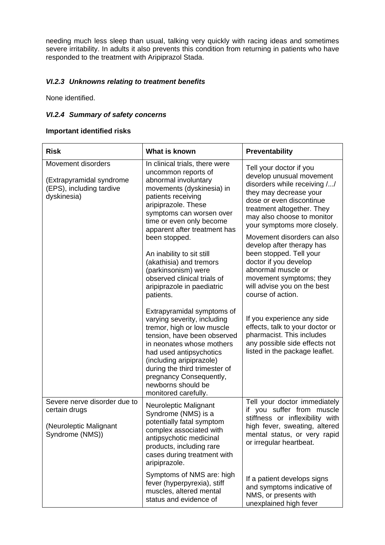needing much less sleep than usual, talking very quickly with racing ideas and sometimes severe irritability. In adults it also prevents this condition from returning in patients who have responded to the treatment with Aripiprazol Stada.

## *VI.2.3 Unknowns relating to treatment benefits*

None identified.

## *VI.2.4 Summary of safety concerns*

#### **Important identified risks**

| <b>Risk</b>                                                                                | What is known                                                                                                                                                                                                                                                                                                                                                                                                             | Preventability                                                                                                                                                                                                                                                                                                                                                                                                                                            |
|--------------------------------------------------------------------------------------------|---------------------------------------------------------------------------------------------------------------------------------------------------------------------------------------------------------------------------------------------------------------------------------------------------------------------------------------------------------------------------------------------------------------------------|-----------------------------------------------------------------------------------------------------------------------------------------------------------------------------------------------------------------------------------------------------------------------------------------------------------------------------------------------------------------------------------------------------------------------------------------------------------|
| Movement disorders<br>(Extrapyramidal syndrome<br>(EPS), including tardive<br>dyskinesia)  | In clinical trials, there were<br>uncommon reports of<br>abnormal involuntary<br>movements (dyskinesia) in<br>patients receiving<br>aripiprazole. These<br>symptoms can worsen over<br>time or even only become<br>apparent after treatment has<br>been stopped.<br>An inability to sit still<br>(akathisia) and tremors<br>(parkinsonism) were<br>observed clinical trials of<br>aripiprazole in paediatric<br>patients. | Tell your doctor if you<br>develop unusual movement<br>disorders while receiving //<br>they may decrease your<br>dose or even discontinue<br>treatment altogether. They<br>may also choose to monitor<br>your symptoms more closely.<br>Movement disorders can also<br>develop after therapy has<br>been stopped. Tell your<br>doctor if you develop<br>abnormal muscle or<br>movement symptoms; they<br>will advise you on the best<br>course of action. |
|                                                                                            | Extrapyramidal symptoms of<br>varying severity, including<br>tremor, high or low muscle<br>tension, have been observed<br>in neonates whose mothers<br>had used antipsychotics<br>(including aripiprazole)<br>during the third trimester of<br>pregnancy Consequently,<br>newborns should be<br>monitored carefully.                                                                                                      | If you experience any side<br>effects, talk to your doctor or<br>pharmacist. This includes<br>any possible side effects not<br>listed in the package leaflet.                                                                                                                                                                                                                                                                                             |
| Severe nerve disorder due to<br>certain drugs<br>(Neuroleptic Malignant<br>Syndrome (NMS)) | Neuroleptic Malignant<br>Syndrome (NMS) is a<br>potentially fatal symptom<br>complex associated with<br>antipsychotic medicinal<br>products, including rare<br>cases during treatment with<br>aripiprazole.                                                                                                                                                                                                               | Tell your doctor immediately<br>if you suffer from muscle<br>stiffness or inflexibility with<br>high fever, sweating, altered<br>mental status, or very rapid<br>or irregular heartbeat.                                                                                                                                                                                                                                                                  |
|                                                                                            | Symptoms of NMS are: high<br>fever (hyperpyrexia), stiff<br>muscles, altered mental<br>status and evidence of                                                                                                                                                                                                                                                                                                             | If a patient develops signs<br>and symptoms indicative of<br>NMS, or presents with<br>unexplained high fever                                                                                                                                                                                                                                                                                                                                              |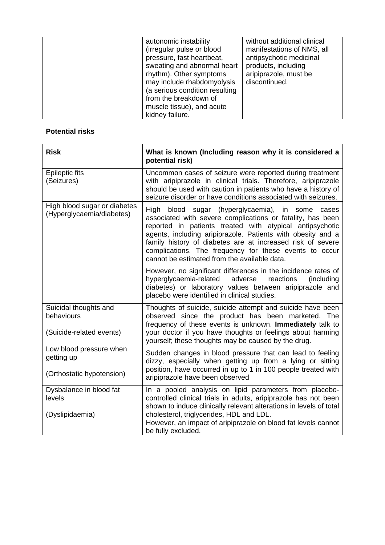| autonomic instability<br>(irregular pulse or blood<br>pressure, fast heartbeat,<br>sweating and abnormal heart<br>rhythm). Other symptoms<br>may include rhabdomyolysis | without additional clinical<br>manifestations of NMS, all<br>antipsychotic medicinal<br>products, including<br>aripiprazole, must be<br>discontinued. |
|-------------------------------------------------------------------------------------------------------------------------------------------------------------------------|-------------------------------------------------------------------------------------------------------------------------------------------------------|
| (a serious condition resulting<br>from the breakdown of<br>muscle tissue), and acute                                                                                    |                                                                                                                                                       |
| kidney failure.                                                                                                                                                         |                                                                                                                                                       |

# **Potential risks**

| <b>Risk</b>                                                        | What is known (Including reason why it is considered a<br>potential risk)                                                                                                                                                                                                                                                                                                                                            |
|--------------------------------------------------------------------|----------------------------------------------------------------------------------------------------------------------------------------------------------------------------------------------------------------------------------------------------------------------------------------------------------------------------------------------------------------------------------------------------------------------|
| <b>Epileptic fits</b><br>(Seizures)                                | Uncommon cases of seizure were reported during treatment<br>with aripiprazole in clinical trials. Therefore, aripiprazole<br>should be used with caution in patients who have a history of<br>seizure disorder or have conditions associated with seizures.                                                                                                                                                          |
| High blood sugar or diabetes<br>(Hyperglycaemia/diabetes)          | blood sugar (hyperglycaemia), in some cases<br>High<br>associated with severe complications or fatality, has been<br>reported in patients treated with atypical antipsychotic<br>agents, including aripiprazole. Patients with obesity and a<br>family history of diabetes are at increased risk of severe<br>complications. The frequency for these events to occur<br>cannot be estimated from the available data. |
|                                                                    | However, no significant differences in the incidence rates of<br>hyperglycaemia-related<br>adverse<br>reactions<br>(including)<br>diabetes) or laboratory values between aripiprazole and<br>placebo were identified in clinical studies.                                                                                                                                                                            |
| Suicidal thoughts and<br>behaviours<br>(Suicide-related events)    | Thoughts of suicide, suicide attempt and suicide have been<br>observed since the product has been marketed. The<br>frequency of these events is unknown. Immediately talk to<br>your doctor if you have thoughts or feelings about harming<br>yourself; these thoughts may be caused by the drug.                                                                                                                    |
| Low blood pressure when<br>getting up<br>(Orthostatic hypotension) | Sudden changes in blood pressure that can lead to feeling<br>dizzy, especially when getting up from a lying or sitting<br>position, have occurred in up to 1 in 100 people treated with<br>aripiprazole have been observed                                                                                                                                                                                           |
| Dysbalance in blood fat<br>levels<br>(Dyslipidaemia)               | In a pooled analysis on lipid parameters from placebo-<br>controlled clinical trials in adults, aripiprazole has not been<br>shown to induce clinically relevant alterations in levels of total<br>cholesterol, triglycerides, HDL and LDL.<br>However, an impact of aripiprazole on blood fat levels cannot<br>be fully excluded.                                                                                   |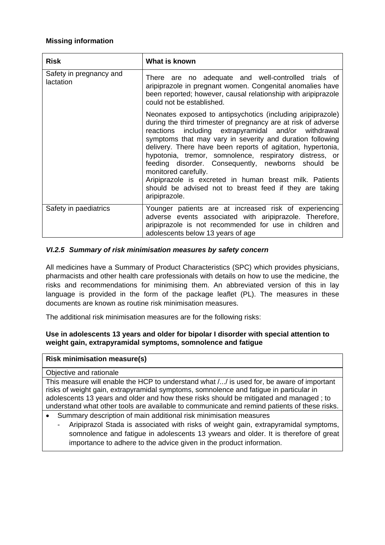## **Missing information**

| <b>Risk</b>                          | What is known                                                                                                                                                                                                                                                                                                                                                                                                                                                                                                                                                                                        |
|--------------------------------------|------------------------------------------------------------------------------------------------------------------------------------------------------------------------------------------------------------------------------------------------------------------------------------------------------------------------------------------------------------------------------------------------------------------------------------------------------------------------------------------------------------------------------------------------------------------------------------------------------|
| Safety in pregnancy and<br>lactation | There are no adequate and well-controlled trials of<br>aripiprazole in pregnant women. Congenital anomalies have<br>been reported; however, causal relationship with aripiprazole<br>could not be established.                                                                                                                                                                                                                                                                                                                                                                                       |
|                                      | Neonates exposed to antipsychotics (including aripiprazole)<br>during the third trimester of pregnancy are at risk of adverse<br>reactions including extrapyramidal and/or withdrawal<br>symptoms that may vary in severity and duration following<br>delivery. There have been reports of agitation, hypertonia,<br>hypotonia, tremor, somnolence, respiratory distress, or<br>feeding disorder. Consequently, newborns should<br>be<br>monitored carefully.<br>Aripiprazole is excreted in human breast milk. Patients<br>should be advised not to breast feed if they are taking<br>aripiprazole. |
| Safety in paediatrics                | Younger patients are at increased risk of experiencing<br>adverse events associated with aripiprazole. Therefore,<br>aripiprazole is not recommended for use in children and<br>adolescents below 13 years of age                                                                                                                                                                                                                                                                                                                                                                                    |

## *VI.2.5 Summary of risk minimisation measures by safety concern*

All medicines have a Summary of Product Characteristics (SPC) which provides physicians, pharmacists and other health care professionals with details on how to use the medicine, the risks and recommendations for minimising them. An abbreviated version of this in lay language is provided in the form of the package leaflet (PL). The measures in these documents are known as routine risk minimisation measures.

The additional risk minimisation measures are for the following risks:

## **Use in adolescents 13 years and older for bipolar I disorder with special attention to weight gain, extrapyramidal symptoms, somnolence and fatigue**

## **Risk minimisation measure(s)**

## Objective and rationale

This measure will enable the HCP to understand what /.../ is used for, be aware of important risks of weight gain, extrapyramidal symptoms, somnolence and fatigue in particular in adolescents 13 years and older and how these risks should be mitigated and managed ; to understand what other tools are available to communicate and remind patients of these risks.

- Summary description of main additional risk minimisation measures
	- Aripiprazol Stada is associated with risks of weight gain, extrapyramidal symptoms, somnolence and fatigue in adolescents 13 ywears and older. It is therefore of great importance to adhere to the advice given in the product information.